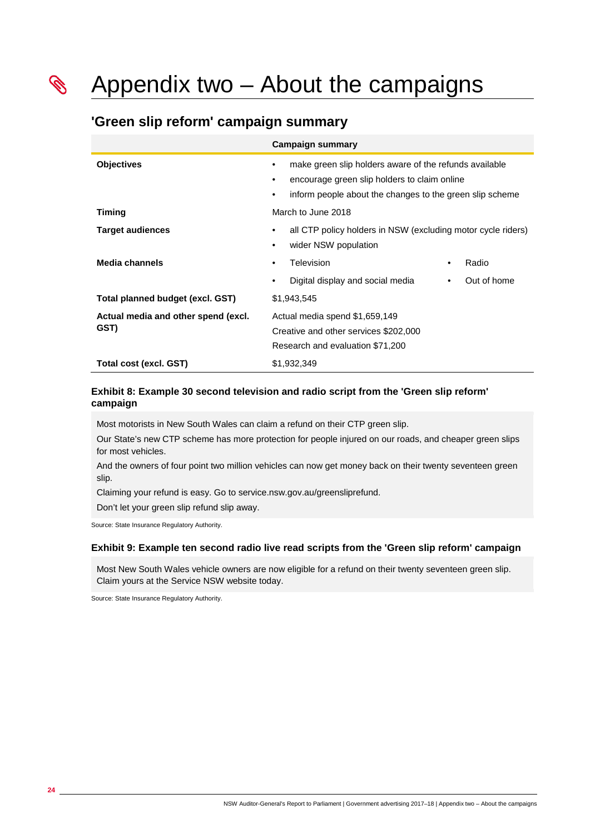Appendix two – About the campaigns

# **'Green slip reform' campaign summary**

|                                             | <b>Campaign summary</b>                                                                                                                                            |                    |
|---------------------------------------------|--------------------------------------------------------------------------------------------------------------------------------------------------------------------|--------------------|
| <b>Objectives</b>                           | make green slip holders aware of the refunds available<br>encourage green slip holders to claim online<br>inform people about the changes to the green slip scheme |                    |
| <b>Timing</b>                               | March to June 2018                                                                                                                                                 |                    |
| <b>Target audiences</b>                     | all CTP policy holders in NSW (excluding motor cycle riders)<br>wider NSW population                                                                               |                    |
| <b>Media channels</b>                       | Television                                                                                                                                                         | Radio<br>$\bullet$ |
|                                             | Digital display and social media<br>٠                                                                                                                              | Out of home<br>٠   |
| Total planned budget (excl. GST)            | \$1,943,545                                                                                                                                                        |                    |
| Actual media and other spend (excl.<br>GST) | Actual media spend \$1,659,149<br>Creative and other services \$202,000<br>Research and evaluation \$71,200                                                        |                    |
| Total cost (excl. GST)                      | \$1,932,349                                                                                                                                                        |                    |

### **Exhibit 8: Example 30 second television and radio script from the 'Green slip reform' campaign**

Most motorists in New South Wales can claim a refund on their CTP green slip.

Our State's new CTP scheme has more protection for people injured on our roads, and cheaper green slips for most vehicles.

And the owners of four point two million vehicles can now get money back on their twenty seventeen green slip.

Claiming your refund is easy. Go to service.nsw.gov.au/greensliprefund.

Don't let your green slip refund slip away.

Source: State Insurance Regulatory Authority.

#### **Exhibit 9: Example ten second radio live read scripts from the 'Green slip reform' campaign**

Most New South Wales vehicle owners are now eligible for a refund on their twenty seventeen green slip. Claim yours at the Service NSW website today.

Source: State Insurance Regulatory Authority.

**Comparison Comparison Comparison Comparison Comparison**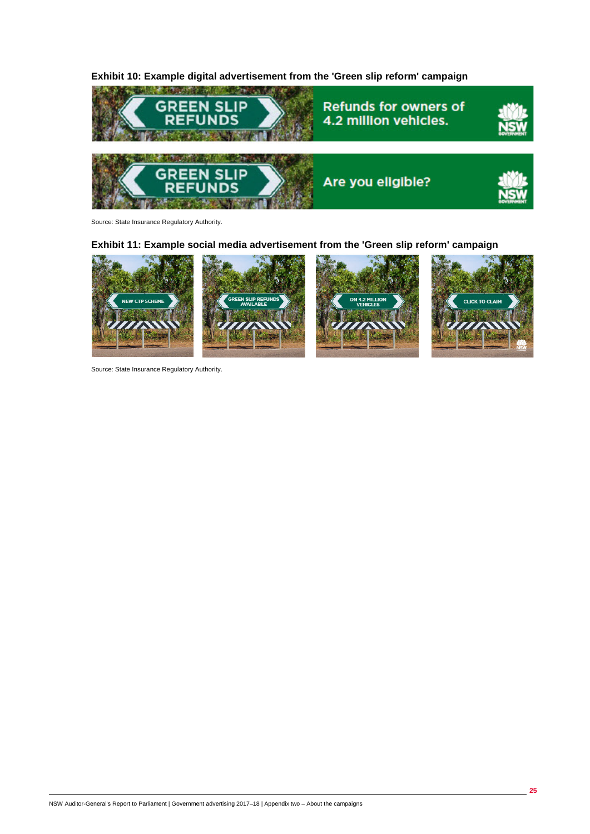



Source: State Insurance Regulatory Authority.

## **Exhibit 11: Example social media advertisement from the 'Green slip reform' campaign**



Source: State Insurance Regulatory Authority.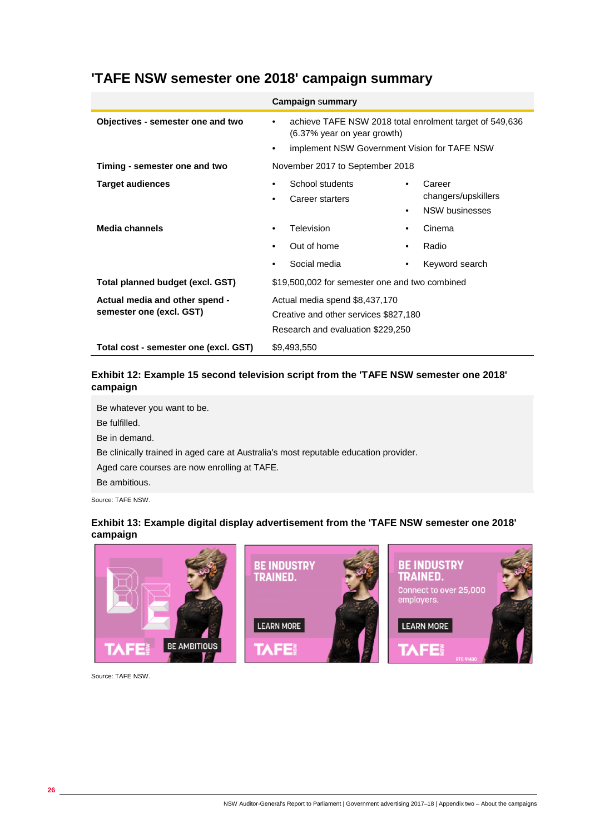|                                                            | <b>Campaign summary</b>                                                                                                                                |                                                                                  |
|------------------------------------------------------------|--------------------------------------------------------------------------------------------------------------------------------------------------------|----------------------------------------------------------------------------------|
| Objectives - semester one and two                          | achieve TAFE NSW 2018 total enrolment target of 549,636<br>$\bullet$<br>$(6.37\%$ year on year growth)<br>implement NSW Government Vision for TAFE NSW |                                                                                  |
| Timing - semester one and two                              | November 2017 to September 2018                                                                                                                        |                                                                                  |
| <b>Target audiences</b>                                    | School students<br>Career starters                                                                                                                     | Career<br>$\bullet$<br>changers/upskillers<br><b>NSW businesses</b><br>$\bullet$ |
| Media channels                                             | Television                                                                                                                                             | Cinema<br>٠                                                                      |
|                                                            | Out of home                                                                                                                                            | Radio<br>$\bullet$                                                               |
|                                                            | Social media                                                                                                                                           | Keyword search<br>٠                                                              |
| Total planned budget (excl. GST)                           | \$19,500,002 for semester one and two combined                                                                                                         |                                                                                  |
| Actual media and other spend -<br>semester one (excl. GST) | Actual media spend \$8,437,170<br>Creative and other services \$827,180<br>Research and evaluation \$229,250                                           |                                                                                  |
| Total cost - semester one (excl. GST)                      | \$9,493,550                                                                                                                                            |                                                                                  |

# **'TAFE NSW semester one 2018' campaign summary**

# **Exhibit 12: Example 15 second television script from the 'TAFE NSW semester one 2018' campaign**

Be whatever you want to be. Be fulfilled. Be in demand. Be clinically trained in aged care at Australia's most reputable education provider. Aged care courses are now enrolling at TAFE. Be ambitious. Source: TAFE NSW.

## **Exhibit 13: Example digital display advertisement from the 'TAFE NSW semester one 2018' campaign**



Source: TAFE NSW.